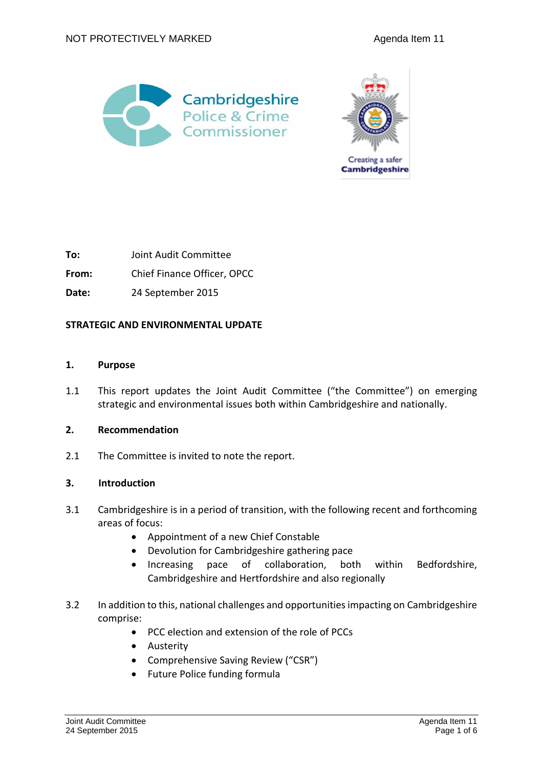



**To:** Joint Audit Committee

**From:** Chief Finance Officer, OPCC

**Date:** 24 September 2015

#### **STRATEGIC AND ENVIRONMENTAL UPDATE**

### **1. Purpose**

1.1 This report updates the Joint Audit Committee ("the Committee") on emerging strategic and environmental issues both within Cambridgeshire and nationally.

### **2. Recommendation**

2.1 The Committee is invited to note the report.

### **3. Introduction**

- 3.1 Cambridgeshire is in a period of transition, with the following recent and forthcoming areas of focus:
	- Appointment of a new Chief Constable
	- Devolution for Cambridgeshire gathering pace
	- Increasing pace of collaboration, both within Bedfordshire, Cambridgeshire and Hertfordshire and also regionally
- 3.2 In addition to this, national challenges and opportunities impacting on Cambridgeshire comprise:
	- PCC election and extension of the role of PCCs
	- **•** Austerity
	- Comprehensive Saving Review ("CSR")
	- Future Police funding formula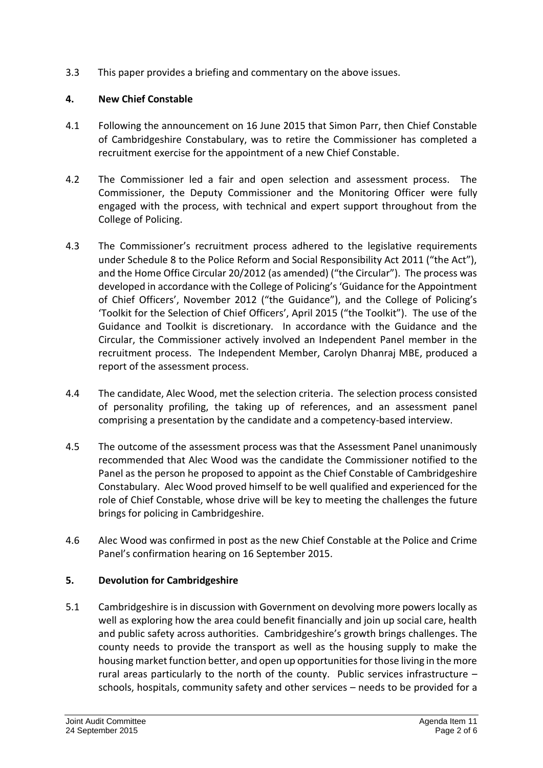3.3 This paper provides a briefing and commentary on the above issues.

### **4. New Chief Constable**

- 4.1 Following the announcement on 16 June 2015 that Simon Parr, then Chief Constable of Cambridgeshire Constabulary, was to retire the Commissioner has completed a recruitment exercise for the appointment of a new Chief Constable.
- 4.2 The Commissioner led a fair and open selection and assessment process. The Commissioner, the Deputy Commissioner and the Monitoring Officer were fully engaged with the process, with technical and expert support throughout from the College of Policing.
- 4.3 The Commissioner's recruitment process adhered to the legislative requirements under Schedule 8 to the Police Reform and Social Responsibility Act 2011 ("the Act"), and the Home Office Circular 20/2012 (as amended) ("the Circular"). The process was developed in accordance with the College of Policing's 'Guidance for the Appointment of Chief Officers', November 2012 ("the Guidance"), and the College of Policing's 'Toolkit for the Selection of Chief Officers', April 2015 ("the Toolkit"). The use of the Guidance and Toolkit is discretionary. In accordance with the Guidance and the Circular, the Commissioner actively involved an Independent Panel member in the recruitment process. The Independent Member, Carolyn Dhanraj MBE, produced a report of the assessment process.
- 4.4 The candidate, Alec Wood, met the selection criteria. The selection process consisted of personality profiling, the taking up of references, and an assessment panel comprising a presentation by the candidate and a competency-based interview.
- 4.5 The outcome of the assessment process was that the Assessment Panel unanimously recommended that Alec Wood was the candidate the Commissioner notified to the Panel as the person he proposed to appoint as the Chief Constable of Cambridgeshire Constabulary. Alec Wood proved himself to be well qualified and experienced for the role of Chief Constable, whose drive will be key to meeting the challenges the future brings for policing in Cambridgeshire.
- 4.6 Alec Wood was confirmed in post as the new Chief Constable at the Police and Crime Panel's confirmation hearing on 16 September 2015.

### **5. Devolution for Cambridgeshire**

5.1 Cambridgeshire is in discussion with Government on devolving more powers locally as well as exploring how the area could benefit financially and join up social care, health and public safety across authorities. Cambridgeshire's growth brings challenges. The county needs to provide the transport as well as the housing supply to make the housing market function better, and open up opportunities for those living in the more rural areas particularly to the north of the county. Public services infrastructure – schools, hospitals, community safety and other services – needs to be provided for a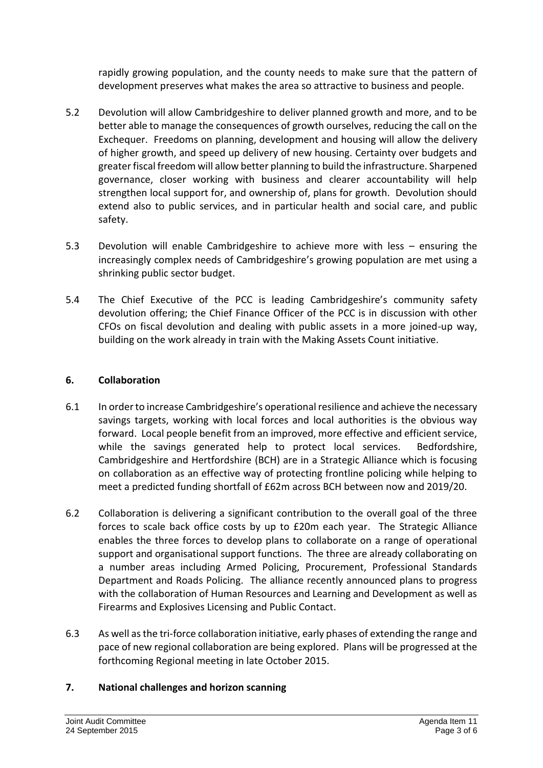rapidly growing population, and the county needs to make sure that the pattern of development preserves what makes the area so attractive to business and people.

- 5.2 Devolution will allow Cambridgeshire to deliver planned growth and more, and to be better able to manage the consequences of growth ourselves, reducing the call on the Exchequer. Freedoms on planning, development and housing will allow the delivery of higher growth, and speed up delivery of new housing. Certainty over budgets and greater fiscal freedom will allow better planning to build the infrastructure. Sharpened governance, closer working with business and clearer accountability will help strengthen local support for, and ownership of, plans for growth. Devolution should extend also to public services, and in particular health and social care, and public safety.
- 5.3 Devolution will enable Cambridgeshire to achieve more with less ensuring the increasingly complex needs of Cambridgeshire's growing population are met using a shrinking public sector budget.
- 5.4 The Chief Executive of the PCC is leading Cambridgeshire's community safety devolution offering; the Chief Finance Officer of the PCC is in discussion with other CFOs on fiscal devolution and dealing with public assets in a more joined-up way, building on the work already in train with the Making Assets Count initiative.

# **6. Collaboration**

- 6.1 In order to increase Cambridgeshire's operational resilience and achieve the necessary savings targets, working with local forces and local authorities is the obvious way forward. Local people benefit from an improved, more effective and efficient service, while the savings generated help to protect local services. Bedfordshire, Cambridgeshire and Hertfordshire (BCH) are in a Strategic Alliance which is focusing on collaboration as an effective way of protecting frontline policing while helping to meet a predicted funding shortfall of £62m across BCH between now and 2019/20.
- 6.2 Collaboration is delivering a significant contribution to the overall goal of the three forces to scale back office costs by up to £20m each year. The Strategic Alliance enables the three forces to develop plans to collaborate on a range of operational support and organisational support functions. The three are already collaborating on a number areas including Armed Policing, Procurement, Professional Standards Department and Roads Policing. The alliance recently announced plans to progress with the collaboration of Human Resources and Learning and Development as well as Firearms and Explosives Licensing and Public Contact.
- 6.3 As well as the tri-force collaboration initiative, early phases of extending the range and pace of new regional collaboration are being explored. Plans will be progressed at the forthcoming Regional meeting in late October 2015.

# **7. National challenges and horizon scanning**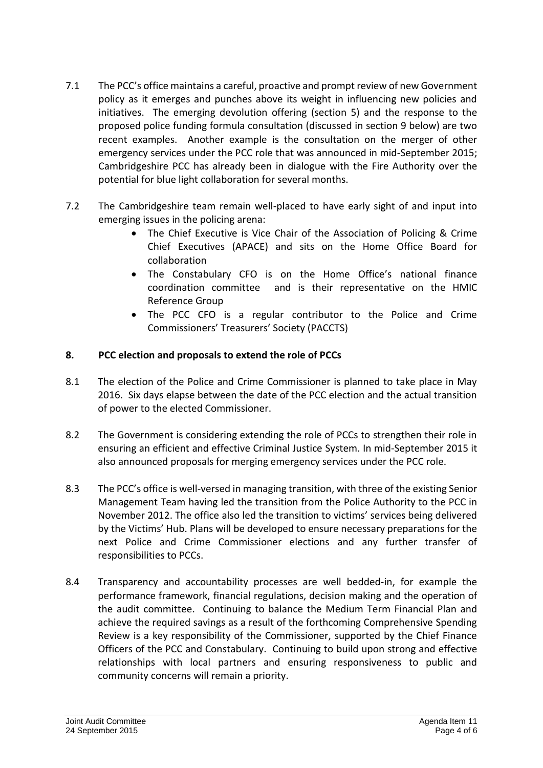- 7.1 The PCC's office maintains a careful, proactive and prompt review of new Government policy as it emerges and punches above its weight in influencing new policies and initiatives. The emerging devolution offering (section 5) and the response to the proposed police funding formula consultation (discussed in section 9 below) are two recent examples. Another example is the consultation on the merger of other emergency services under the PCC role that was announced in mid-September 2015; Cambridgeshire PCC has already been in dialogue with the Fire Authority over the potential for blue light collaboration for several months.
- 7.2 The Cambridgeshire team remain well-placed to have early sight of and input into emerging issues in the policing arena:
	- The Chief Executive is Vice Chair of the Association of Policing & Crime Chief Executives (APACE) and sits on the Home Office Board for collaboration
	- The Constabulary CFO is on the Home Office's national finance coordination committee and is their representative on the HMIC Reference Group
	- The PCC CFO is a regular contributor to the Police and Crime Commissioners' Treasurers' Society (PACCTS)

# **8. PCC election and proposals to extend the role of PCCs**

- 8.1 The election of the Police and Crime Commissioner is planned to take place in May 2016. Six days elapse between the date of the PCC election and the actual transition of power to the elected Commissioner.
- 8.2 The Government is considering extending the role of PCCs to strengthen their role in ensuring an efficient and effective Criminal Justice System. In mid-September 2015 it also announced proposals for merging emergency services under the PCC role.
- 8.3 The PCC's office is well-versed in managing transition, with three of the existing Senior Management Team having led the transition from the Police Authority to the PCC in November 2012. The office also led the transition to victims' services being delivered by the Victims' Hub. Plans will be developed to ensure necessary preparations for the next Police and Crime Commissioner elections and any further transfer of responsibilities to PCCs.
- 8.4 Transparency and accountability processes are well bedded-in, for example the performance framework, financial regulations, decision making and the operation of the audit committee. Continuing to balance the Medium Term Financial Plan and achieve the required savings as a result of the forthcoming Comprehensive Spending Review is a key responsibility of the Commissioner, supported by the Chief Finance Officers of the PCC and Constabulary. Continuing to build upon strong and effective relationships with local partners and ensuring responsiveness to public and community concerns will remain a priority.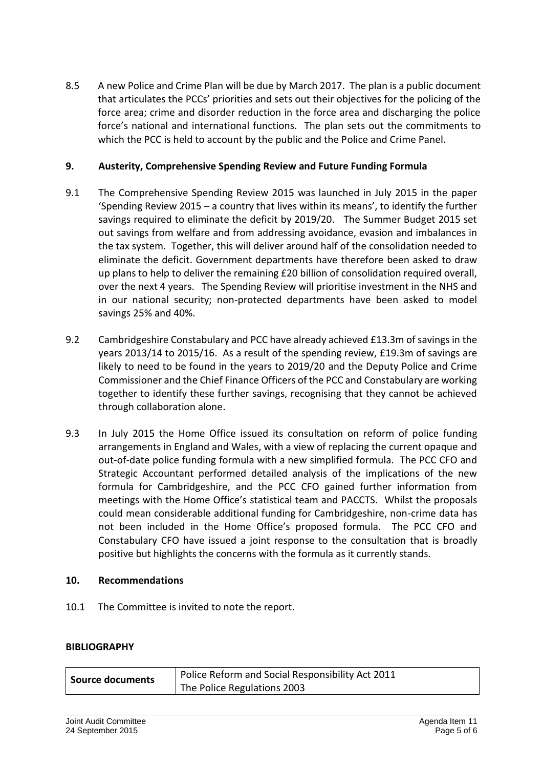8.5 A new Police and Crime Plan will be due by March 2017. The plan is a public document that articulates the PCCs' priorities and sets out their objectives for the policing of the force area; crime and disorder reduction in the force area and discharging the police force's national and international functions. The plan sets out the commitments to which the PCC is held to account by the public and the Police and Crime Panel.

### **9. Austerity, Comprehensive Spending Review and Future Funding Formula**

- 9.1 The Comprehensive Spending Review 2015 was launched in July 2015 in the paper 'Spending Review 2015 – a country that lives within its means', to identify the further savings required to eliminate the deficit by 2019/20. The Summer Budget 2015 set out savings from welfare and from addressing avoidance, evasion and imbalances in the tax system. Together, this will deliver around half of the consolidation needed to eliminate the deficit. Government departments have therefore been asked to draw up plans to help to deliver the remaining £20 billion of consolidation required overall, over the next 4 years. The Spending Review will prioritise investment in the NHS and in our national security; non-protected departments have been asked to model savings 25% and 40%.
- 9.2 Cambridgeshire Constabulary and PCC have already achieved £13.3m of savings in the years 2013/14 to 2015/16. As a result of the spending review, £19.3m of savings are likely to need to be found in the years to 2019/20 and the Deputy Police and Crime Commissioner and the Chief Finance Officers of the PCC and Constabulary are working together to identify these further savings, recognising that they cannot be achieved through collaboration alone.
- 9.3 In July 2015 the Home Office issued its consultation on reform of police funding arrangements in England and Wales, with a view of replacing the current opaque and out-of-date police funding formula with a new simplified formula. The PCC CFO and Strategic Accountant performed detailed analysis of the implications of the new formula for Cambridgeshire, and the PCC CFO gained further information from meetings with the Home Office's statistical team and PACCTS. Whilst the proposals could mean considerable additional funding for Cambridgeshire, non-crime data has not been included in the Home Office's proposed formula. The PCC CFO and Constabulary CFO have issued a joint response to the consultation that is broadly positive but highlights the concerns with the formula as it currently stands.

#### **10. Recommendations**

10.1 The Committee is invited to note the report.

#### **BIBLIOGRAPHY**

| <b>Source documents</b> | Police Reform and Social Responsibility Act 2011 |
|-------------------------|--------------------------------------------------|
|                         | The Police Regulations 2003                      |